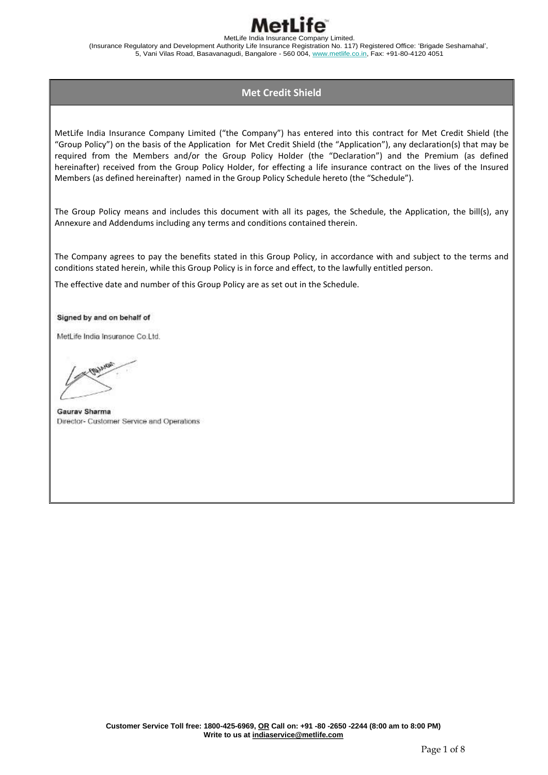

# **Met Credit Shield**

MetLife India Insurance Company Limited ("the Company") has entered into this contract for Met Credit Shield (the "Group Policy") on the basis of the Application for Met Credit Shield (the "Application"), any declaration(s) that may be required from the Members and/or the Group Policy Holder (the "Declaration") and the Premium (as defined hereinafter) received from the Group Policy Holder, for effecting a life insurance contract on the lives of the Insured Members (as defined hereinafter) named in the Group Policy Schedule hereto (the "Schedule").

The Group Policy means and includes this document with all its pages, the Schedule, the Application, the bill(s), any Annexure and Addendums including any terms and conditions contained therein.

The Company agrees to pay the benefits stated in this Group Policy, in accordance with and subject to the terms and conditions stated herein, while this Group Policy is in force and effect, to the lawfully entitled person.

The effective date and number of this Group Policy are as set out in the Schedule.

Signed by and on behalf of

MetLife India Insurance Co.Ltd.

**Gauray Sharma** Director- Customer Service and Operations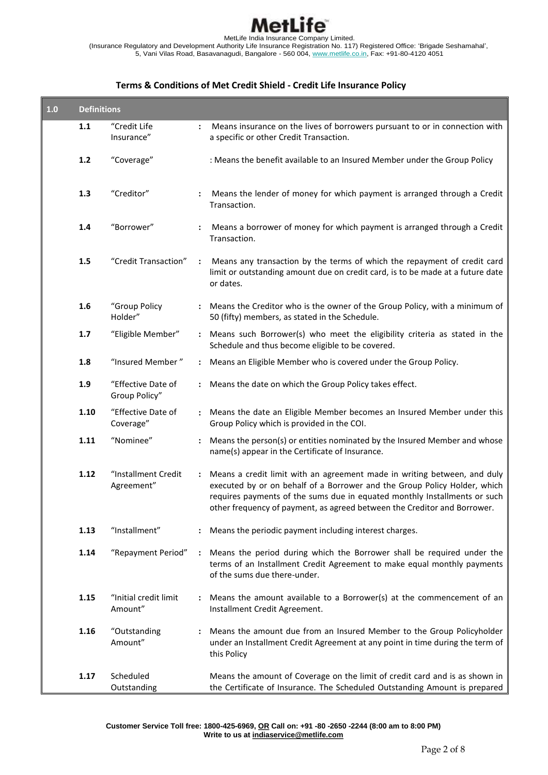

# **Terms & Conditions of Met Credit Shield - Credit Life Insurance Policy**

| 1.0 | <b>Definitions</b> |                                     |                      |                                                                                                                                                                                                                                                                                                                |  |  |
|-----|--------------------|-------------------------------------|----------------------|----------------------------------------------------------------------------------------------------------------------------------------------------------------------------------------------------------------------------------------------------------------------------------------------------------------|--|--|
|     | 1.1                | "Credit Life<br>Insurance"          |                      | Means insurance on the lives of borrowers pursuant to or in connection with<br>a specific or other Credit Transaction.                                                                                                                                                                                         |  |  |
|     | $1.2$              | "Coverage"                          |                      | : Means the benefit available to an Insured Member under the Group Policy                                                                                                                                                                                                                                      |  |  |
|     | 1.3                | "Creditor"                          |                      | Means the lender of money for which payment is arranged through a Credit<br>Transaction.                                                                                                                                                                                                                       |  |  |
|     | 1.4                | "Borrower"                          |                      | Means a borrower of money for which payment is arranged through a Credit<br>Transaction.                                                                                                                                                                                                                       |  |  |
|     | 1.5                | "Credit Transaction"                | $\ddot{\cdot}$       | Means any transaction by the terms of which the repayment of credit card<br>limit or outstanding amount due on credit card, is to be made at a future date<br>or dates.                                                                                                                                        |  |  |
|     | 1.6                | "Group Policy<br>Holder"            | $\ddot{\cdot}$       | Means the Creditor who is the owner of the Group Policy, with a minimum of<br>50 (fifty) members, as stated in the Schedule.                                                                                                                                                                                   |  |  |
|     | 1.7                | "Eligible Member"                   | $\ddot{\phantom{a}}$ | Means such Borrower(s) who meet the eligibility criteria as stated in the<br>Schedule and thus become eligible to be covered.                                                                                                                                                                                  |  |  |
|     | 1.8                | "Insured Member"                    |                      | : Means an Eligible Member who is covered under the Group Policy.                                                                                                                                                                                                                                              |  |  |
|     | 1.9                | "Effective Date of<br>Group Policy" |                      | Means the date on which the Group Policy takes effect.                                                                                                                                                                                                                                                         |  |  |
|     | 1.10               | "Effective Date of<br>Coverage"     |                      | Means the date an Eligible Member becomes an Insured Member under this<br>Group Policy which is provided in the COI.                                                                                                                                                                                           |  |  |
|     | 1.11               | "Nominee"                           |                      | Means the person(s) or entities nominated by the Insured Member and whose<br>name(s) appear in the Certificate of Insurance.                                                                                                                                                                                   |  |  |
|     | 1.12               | "Installment Credit<br>Agreement"   |                      | Means a credit limit with an agreement made in writing between, and duly<br>executed by or on behalf of a Borrower and the Group Policy Holder, which<br>requires payments of the sums due in equated monthly Installments or such<br>other frequency of payment, as agreed between the Creditor and Borrower. |  |  |
|     | 1.13               | "Installment"                       |                      | Means the periodic payment including interest charges.                                                                                                                                                                                                                                                         |  |  |
|     | 1.14               | "Repayment Period"                  | $\ddot{\phantom{a}}$ | Means the period during which the Borrower shall be required under the<br>terms of an Installment Credit Agreement to make equal monthly payments<br>of the sums due there-under.                                                                                                                              |  |  |
|     | 1.15               | "Initial credit limit<br>Amount"    |                      | Means the amount available to a Borrower(s) at the commencement of an<br>Installment Credit Agreement.                                                                                                                                                                                                         |  |  |
|     | 1.16               | "Outstanding<br>Amount"             |                      | Means the amount due from an Insured Member to the Group Policyholder<br>under an Installment Credit Agreement at any point in time during the term of<br>this Policy                                                                                                                                          |  |  |
|     | 1.17               | Scheduled<br>Outstanding            |                      | Means the amount of Coverage on the limit of credit card and is as shown in<br>the Certificate of Insurance. The Scheduled Outstanding Amount is prepared                                                                                                                                                      |  |  |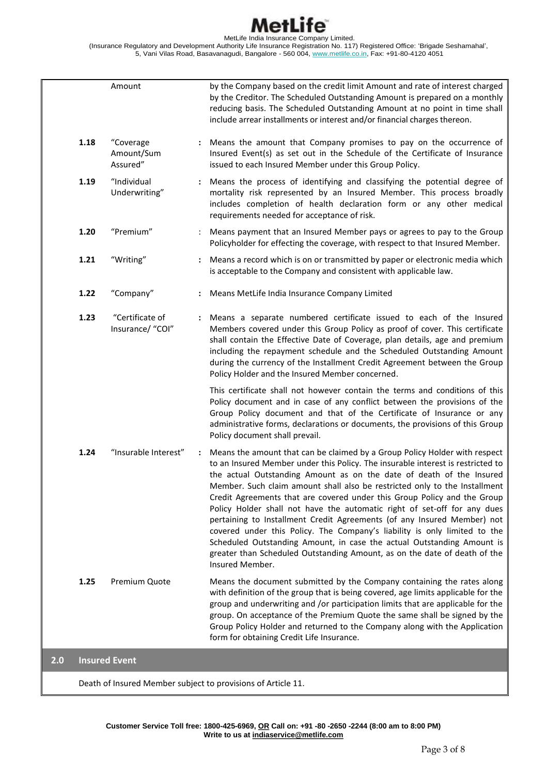# MetL ife

MetLife India Insurance Company Limited. (Insurance Regulatory and Development Authority Life Insurance Registration No. 117) Registered Office: 'Brigade Seshamahal', 5, Vani Vilas Road, Basavanagudi, Bangalore - 560 004, <u>www.metlife.co.in</u>, Fax: +91-80-4120 4051

|     |                                                              | Amount                              |                      | by the Company based on the credit limit Amount and rate of interest charged<br>by the Creditor. The Scheduled Outstanding Amount is prepared on a monthly<br>reducing basis. The Scheduled Outstanding Amount at no point in time shall<br>include arrear installments or interest and/or financial charges thereon.                                                                                                                                                                                                                                                                                                                                                                                                                                                                                         |  |  |
|-----|--------------------------------------------------------------|-------------------------------------|----------------------|---------------------------------------------------------------------------------------------------------------------------------------------------------------------------------------------------------------------------------------------------------------------------------------------------------------------------------------------------------------------------------------------------------------------------------------------------------------------------------------------------------------------------------------------------------------------------------------------------------------------------------------------------------------------------------------------------------------------------------------------------------------------------------------------------------------|--|--|
|     | 1.18                                                         | "Coverage<br>Amount/Sum<br>Assured" |                      | : Means the amount that Company promises to pay on the occurrence of<br>Insured Event(s) as set out in the Schedule of the Certificate of Insurance<br>issued to each Insured Member under this Group Policy.                                                                                                                                                                                                                                                                                                                                                                                                                                                                                                                                                                                                 |  |  |
|     | 1.19                                                         | "Individual<br>Underwriting"        |                      | Means the process of identifying and classifying the potential degree of<br>mortality risk represented by an Insured Member. This process broadly<br>includes completion of health declaration form or any other medical<br>requirements needed for acceptance of risk.                                                                                                                                                                                                                                                                                                                                                                                                                                                                                                                                       |  |  |
|     | 1.20                                                         | "Premium"                           |                      | Means payment that an Insured Member pays or agrees to pay to the Group<br>Policyholder for effecting the coverage, with respect to that Insured Member.                                                                                                                                                                                                                                                                                                                                                                                                                                                                                                                                                                                                                                                      |  |  |
|     | 1.21                                                         | "Writing"                           |                      | Means a record which is on or transmitted by paper or electronic media which<br>is acceptable to the Company and consistent with applicable law.                                                                                                                                                                                                                                                                                                                                                                                                                                                                                                                                                                                                                                                              |  |  |
|     | 1.22                                                         | "Company"                           |                      | Means MetLife India Insurance Company Limited                                                                                                                                                                                                                                                                                                                                                                                                                                                                                                                                                                                                                                                                                                                                                                 |  |  |
|     | 1.23                                                         | "Certificate of<br>Insurance/ "COI" |                      | Means a separate numbered certificate issued to each of the Insured<br>Members covered under this Group Policy as proof of cover. This certificate<br>shall contain the Effective Date of Coverage, plan details, age and premium<br>including the repayment schedule and the Scheduled Outstanding Amount<br>during the currency of the Installment Credit Agreement between the Group<br>Policy Holder and the Insured Member concerned.                                                                                                                                                                                                                                                                                                                                                                    |  |  |
|     |                                                              |                                     |                      | This certificate shall not however contain the terms and conditions of this<br>Policy document and in case of any conflict between the provisions of the<br>Group Policy document and that of the Certificate of Insurance or any<br>administrative forms, declarations or documents, the provisions of this Group<br>Policy document shall prevail.                                                                                                                                                                                                                                                                                                                                                                                                                                                          |  |  |
|     | 1.24                                                         | "Insurable Interest"                | $\ddot{\phantom{a}}$ | Means the amount that can be claimed by a Group Policy Holder with respect<br>to an Insured Member under this Policy. The insurable interest is restricted to<br>the actual Outstanding Amount as on the date of death of the Insured<br>Member. Such claim amount shall also be restricted only to the Installment<br>Credit Agreements that are covered under this Group Policy and the Group<br>Policy Holder shall not have the automatic right of set-off for any dues<br>pertaining to Installment Credit Agreements (of any Insured Member) not<br>covered under this Policy. The Company's liability is only limited to the<br>Scheduled Outstanding Amount, in case the actual Outstanding Amount is<br>greater than Scheduled Outstanding Amount, as on the date of death of the<br>Insured Member. |  |  |
|     | 1.25                                                         | Premium Quote                       |                      | Means the document submitted by the Company containing the rates along<br>with definition of the group that is being covered, age limits applicable for the<br>group and underwriting and /or participation limits that are applicable for the<br>group. On acceptance of the Premium Quote the same shall be signed by the<br>Group Policy Holder and returned to the Company along with the Application<br>form for obtaining Credit Life Insurance.                                                                                                                                                                                                                                                                                                                                                        |  |  |
| 2.0 |                                                              | <b>Insured Event</b>                |                      |                                                                                                                                                                                                                                                                                                                                                                                                                                                                                                                                                                                                                                                                                                                                                                                                               |  |  |
|     | Death of Insured Member subject to provisions of Article 11. |                                     |                      |                                                                                                                                                                                                                                                                                                                                                                                                                                                                                                                                                                                                                                                                                                                                                                                                               |  |  |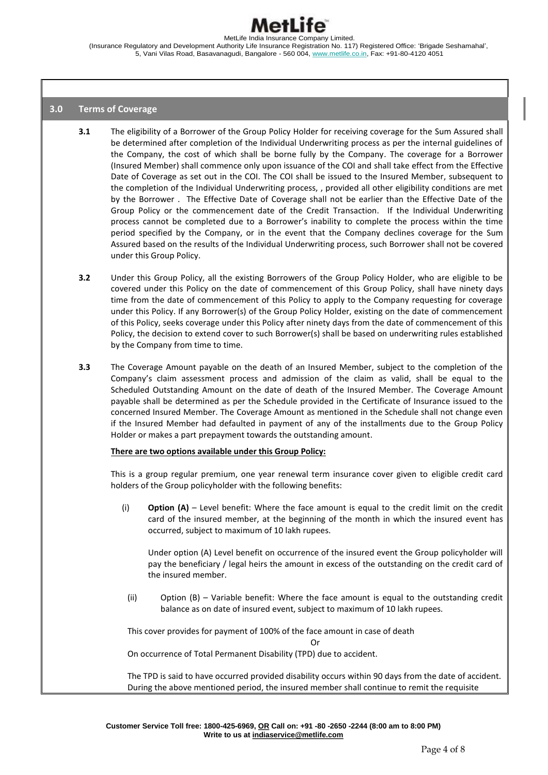

### **3.0 Terms of Coverage**

- **3.1** The eligibility of a Borrower of the Group Policy Holder for receiving coverage for the Sum Assured shall be determined after completion of the Individual Underwriting process as per the internal guidelines of the Company, the cost of which shall be borne fully by the Company. The coverage for a Borrower (Insured Member) shall commence only upon issuance of the COI and shall take effect from the Effective Date of Coverage as set out in the COI. The COI shall be issued to the Insured Member, subsequent to the completion of the Individual Underwriting process, , provided all other eligibility conditions are met by the Borrower . The Effective Date of Coverage shall not be earlier than the Effective Date of the Group Policy or the commencement date of the Credit Transaction. If the Individual Underwriting process cannot be completed due to a Borrower's inability to complete the process within the time period specified by the Company, or in the event that the Company declines coverage for the Sum Assured based on the results of the Individual Underwriting process, such Borrower shall not be covered under this Group Policy.
- **3.2** Under this Group Policy, all the existing Borrowers of the Group Policy Holder, who are eligible to be covered under this Policy on the date of commencement of this Group Policy, shall have ninety days time from the date of commencement of this Policy to apply to the Company requesting for coverage under this Policy. If any Borrower(s) of the Group Policy Holder, existing on the date of commencement of this Policy, seeks coverage under this Policy after ninety days from the date of commencement of this Policy, the decision to extend cover to such Borrower(s) shall be based on underwriting rules established by the Company from time to time.
- **3.3** The Coverage Amount payable on the death of an Insured Member, subject to the completion of the Company's claim assessment process and admission of the claim as valid, shall be equal to the Scheduled Outstanding Amount on the date of death of the Insured Member. The Coverage Amount payable shall be determined as per the Schedule provided in the Certificate of Insurance issued to the concerned Insured Member. The Coverage Amount as mentioned in the Schedule shall not change even if the Insured Member had defaulted in payment of any of the installments due to the Group Policy Holder or makes a part prepayment towards the outstanding amount.

#### **There are two options available under this Group Policy:**

This is a group regular premium, one year renewal term insurance cover given to eligible credit card holders of the Group policyholder with the following benefits:

(i) **Option (A)** – Level benefit: Where the face amount is equal to the credit limit on the credit card of the insured member, at the beginning of the month in which the insured event has occurred, subject to maximum of 10 lakh rupees.

Under option (A) Level benefit on occurrence of the insured event the Group policyholder will pay the beneficiary / legal heirs the amount in excess of the outstanding on the credit card of the insured member.

(ii) Option (B) – Variable benefit: Where the face amount is equal to the outstanding credit balance as on date of insured event, subject to maximum of 10 lakh rupees.

This cover provides for payment of 100% of the face amount in case of death

Or

On occurrence of Total Permanent Disability (TPD) due to accident.

The TPD is said to have occurred provided disability occurs within 90 days from the date of accident. During the above mentioned period, the insured member shall continue to remit the requisite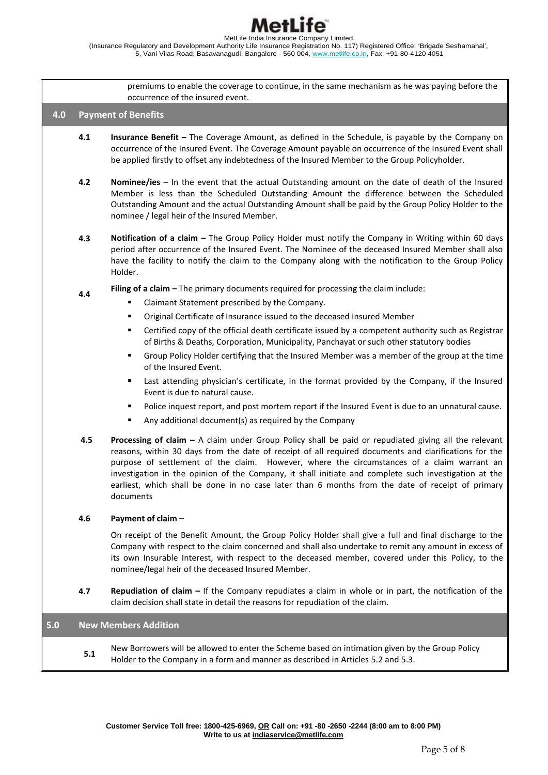premiums to enable the coverage to continue, in the same mechanism as he was paying before the occurrence of the insured event. **4.0 Payment of Benefits 4.1 Insurance Benefit –** The Coverage Amount, as defined in the Schedule, is payable by the Company on occurrence of the Insured Event. The Coverage Amount payable on occurrence of the Insured Event shall be applied firstly to offset any indebtedness of the Insured Member to the Group Policyholder. **4.2 Nominee/ies** – In the event that the actual Outstanding amount on the date of death of the Insured Member is less than the Scheduled Outstanding Amount the difference between the Scheduled Outstanding Amount and the actual Outstanding Amount shall be paid by the Group Policy Holder to the nominee / legal heir of the Insured Member. **4.3 Notification of a claim –** The Group Policy Holder must notify the Company in Writing within 60 days period after occurrence of the Insured Event. The Nominee of the deceased Insured Member shall also have the facility to notify the claim to the Company along with the notification to the Group Policy Holder. **4.4 Filing of a claim** – The primary documents required for processing the claim include: Claimant Statement prescribed by the Company. Original Certificate of Insurance issued to the deceased Insured Member Certified copy of the official death certificate issued by a competent authority such as Registrar of Births & Deaths, Corporation, Municipality, Panchayat or such other statutory bodies Group Policy Holder certifying that the Insured Member was a member of the group at the time of the Insured Event. Last attending physician's certificate, in the format provided by the Company, if the Insured Event is due to natural cause. Police inquest report, and post mortem report if the Insured Event is due to an unnatural cause. Any additional document(s) as required by the Company **4.5 Processing of claim –** A claim under Group Policy shall be paid or repudiated giving all the relevant reasons, within 30 days from the date of receipt of all required documents and clarifications for the purpose of settlement of the claim. However, where the circumstances of a claim warrant an investigation in the opinion of the Company, it shall initiate and complete such investigation at the earliest, which shall be done in no case later than 6 months from the date of receipt of primary documents **4.6 Payment of claim –** On receipt of the Benefit Amount, the Group Policy Holder shall give a full and final discharge to the Company with respect to the claim concerned and shall also undertake to remit any amount in excess of its own Insurable Interest, with respect to the deceased member, covered under this Policy, to the nominee/legal heir of the deceased Insured Member. **4.7 Repudiation of claim –** If the Company repudiates a claim in whole or in part, the notification of the claim decision shall state in detail the reasons for repudiation of the claim. **5.0 New Members Addition 5.1** New Borrowers will be allowed to enter the Scheme based on intimation given by the Group Policy Holder to the Company in a form and manner as described in Articles 5.2 and 5.3.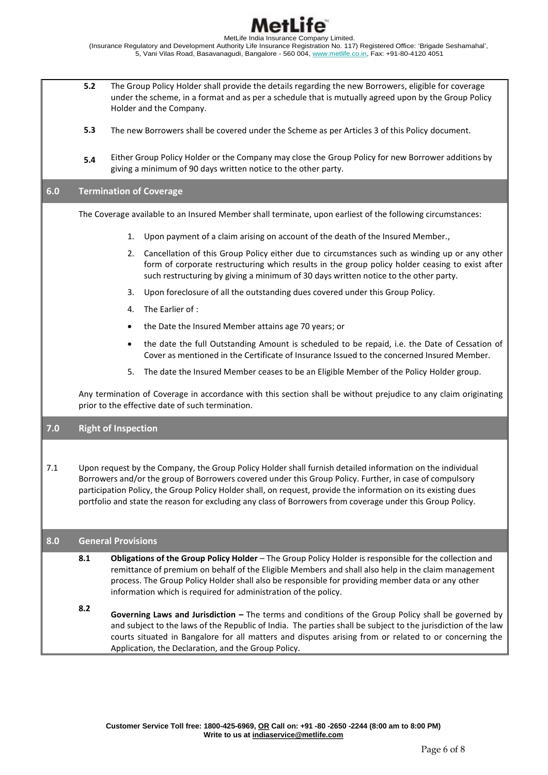

- **5.2** The Group Policy Holder shall provide the details regarding the new Borrowers, eligible for coverage under the scheme, in a format and as per a schedule that is mutually agreed upon by the Group Policy Holder and the Company.
- **5.3** The new Borrowers shall be covered under the Scheme as per Articles 3 of this Policy document.
- **5.4** Either Group Policy Holder or the Company may close the Group Policy for new Borrower additions by giving a minimum of 90 days written notice to the other party.

# **6.0 Termination of Coverage**

The Coverage available to an Insured Member shall terminate, upon earliest of the following circumstances:

- 1. Upon payment of a claim arising on account of the death of the Insured Member.,
- 2. Cancellation of this Group Policy either due to circumstances such as winding up or any other form of corporate restructuring which results in the group policy holder ceasing to exist after such restructuring by giving a minimum of 30 days written notice to the other party.
- 3. Upon foreclosure of all the outstanding dues covered under this Group Policy.
- 4. The Earlier of :
- the Date the Insured Member attains age 70 years; or
- the date the full Outstanding Amount is scheduled to be repaid, i.e. the Date of Cessation of Cover as mentioned in the Certificate of Insurance Issued to the concerned Insured Member.
- 5. The date the Insured Member ceases to be an Eligible Member of the Policy Holder group.

Any termination of Coverage in accordance with this section shall be without prejudice to any claim originating prior to the effective date of such termination.

# **7.0 Right of Inspection**

7.1 Upon request by the Company, the Group Policy Holder shall furnish detailed information on the individual Borrowers and/or the group of Borrowers covered under this Group Policy. Further, in case of compulsory participation Policy, the Group Policy Holder shall, on request, provide the information on its existing dues portfolio and state the reason for excluding any class of Borrowers from coverage under this Group Policy.

### **8.0 General Provisions**

- **8.1 Obligations of the Group Policy Holder** – The Group Policy Holder is responsible for the collection and remittance of premium on behalf of the Eligible Members and shall also help in the claim management process. The Group Policy Holder shall also be responsible for providing member data or any other information which is required for administration of the policy.
- **8.2 Governing Laws and Jurisdiction –** The terms and conditions of the Group Policy shall be governed by and subject to the laws of the Republic of India. The parties shall be subject to the jurisdiction of the law courts situated in Bangalore for all matters and disputes arising from or related to or concerning the Application, the Declaration, and the Group Policy.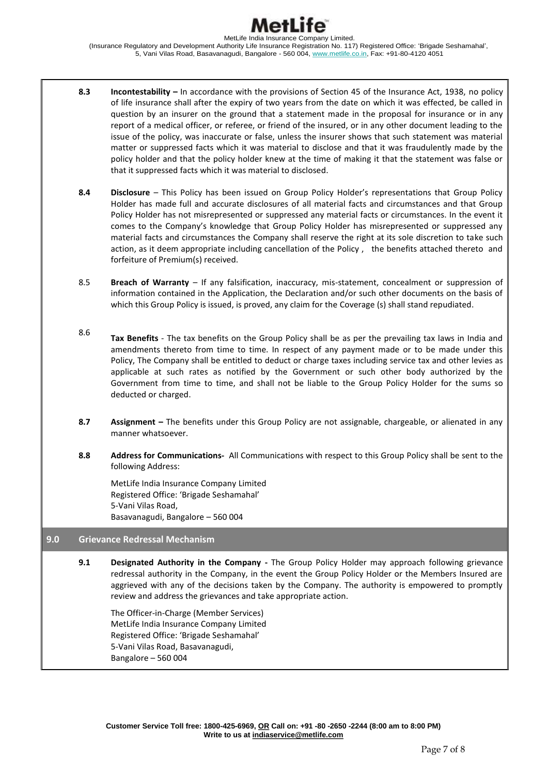- **8.3 Incontestability –** In accordance with the provisions of Section 45 of the Insurance Act, 1938, no policy of life insurance shall after the expiry of two years from the date on which it was effected, be called in question by an insurer on the ground that a statement made in the proposal for insurance or in any report of a medical officer, or referee, or friend of the insured, or in any other document leading to the issue of the policy, was inaccurate or false, unless the insurer shows that such statement was material matter or suppressed facts which it was material to disclose and that it was fraudulently made by the policy holder and that the policy holder knew at the time of making it that the statement was false or that it suppressed facts which it was material to disclosed.
- **8.4 Disclosure**  This Policy has been issued on Group Policy Holder's representations that Group Policy Holder has made full and accurate disclosures of all material facts and circumstances and that Group Policy Holder has not misrepresented or suppressed any material facts or circumstances. In the event it comes to the Company's knowledge that Group Policy Holder has misrepresented or suppressed any material facts and circumstances the Company shall reserve the right at its sole discretion to take such action, as it deem appropriate including cancellation of the Policy , the benefits attached thereto and forfeiture of Premium(s) received.
- 8.5 **Breach of Warranty** – If any falsification, inaccuracy, mis-statement, concealment or suppression of information contained in the Application, the Declaration and/or such other documents on the basis of which this Group Policy is issued, is proved, any claim for the Coverage (s) shall stand repudiated.
- 8.6 **Tax Benefits** - The tax benefits on the Group Policy shall be as per the prevailing tax laws in India and amendments thereto from time to time. In respect of any payment made or to be made under this Policy, The Company shall be entitled to deduct or charge taxes including service tax and other levies as applicable at such rates as notified by the Government or such other body authorized by the Government from time to time, and shall not be liable to the Group Policy Holder for the sums so deducted or charged.
- **8.7 Assignment –** The benefits under this Group Policy are not assignable, chargeable, or alienated in any manner whatsoever.
- **8.8 Address for Communications-** All Communications with respect to this Group Policy shall be sent to the following Address:

MetLife India Insurance Company Limited Registered Office: 'Brigade Seshamahal' 5-Vani Vilas Road, Basavanagudi, Bangalore – 560 004

### **9.0 Grievance Redressal Mechanism**

**9.1 Designated Authority in the Company -** The Group Policy Holder may approach following grievance redressal authority in the Company, in the event the Group Policy Holder or the Members Insured are aggrieved with any of the decisions taken by the Company. The authority is empowered to promptly review and address the grievances and take appropriate action.

The Officer-in-Charge (Member Services) MetLife India Insurance Company Limited Registered Office: 'Brigade Seshamahal' 5-Vani Vilas Road, Basavanagudi, Bangalore – 560 004